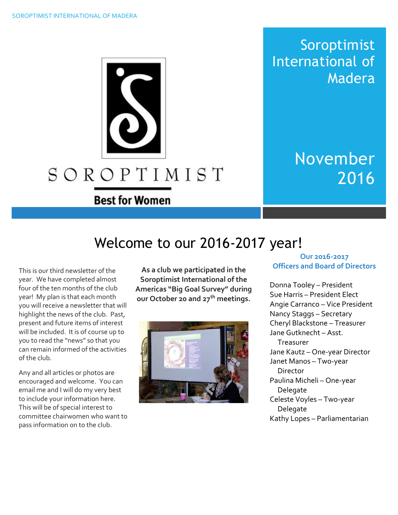Soroptimist International of Madera

> November 2016

# Welcome to our 2016-2017 year!

SOROPTIMIST

**Best for Women** 

This is our third newsletter of the year. We have completed almost four of the ten months of the club year! My plan is that each month you will receive a newsletter that will highlight the news of the club. Past, present and future items of interest will be included. It is of course up to you to read the "news" so that you can remain informed of the activities of the club.

Any and all articles or photos are encouraged and welcome. You can email me and I will do my very best to include your information here. This will be of special interest to committee chairwomen who want to pass information on to the club.

**As a club we participated in the Soroptimist International of the Americas "Big Goal Survey" during our October 20 and 27th meetings.**



#### **Our 2016-2017 Officers and Board of Directors**

Donna Tooley – President Sue Harris – President Elect Angie Carranco – Vice President Nancy Staggs – Secretary Cheryl Blackstone – Treasurer Jane Gutknecht – Asst. Treasurer Jane Kautz – One-year Director Janet Manos – Two-year Director Paulina Micheli – One-year Delegate Celeste Voyles – Two-year Delegate Kathy Lopes – Parliamentarian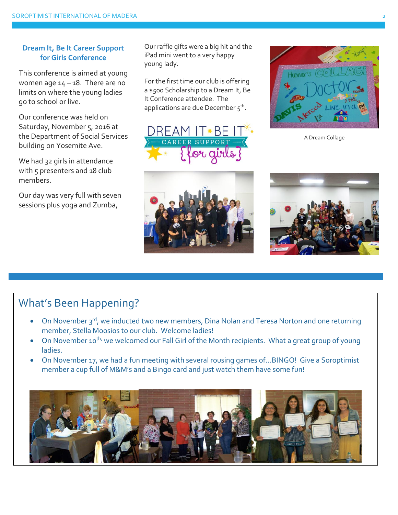#### **Dream It, Be It Career Support for Girls Conference**

This conference is aimed at young women age  $14 - 18$ . There are no limits on where the young ladies go to school or live.

Our conference was held on Saturday, November 5, 2016 at the Department of Social Services building on Yosemite Ave.

We had 32 girls in attendance with 5 presenters and 18 club members.

Our day was very full with seven sessions plus yoga and Zumba,

Our raffle gifts were a big hit and the iPad mini went to a very happy young lady.

For the first time our club is offering a \$500 Scholarship to a Dream It, Be It Conference attendee. The applications are due December  $5^{\text{th}}$ .











# What's Been Happening?

- On November 3<sup>rd</sup>, we inducted two new members, Dina Nolan and Teresa Norton and one returning member, Stella Moosios to our club. Welcome ladies!
- On November 10<sup>th,</sup> we welcomed our Fall Girl of the Month recipients. What a great group of young ladies.
- On November 17, we had a fun meeting with several rousing games of…BINGO! Give a Soroptimist member a cup full of M&M's and a Bingo card and just watch them have some fun!